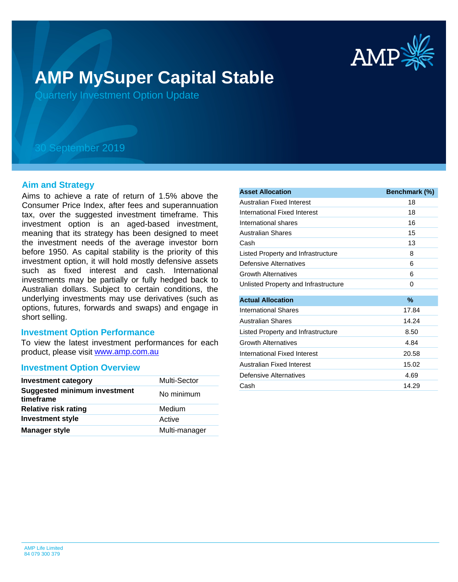

# **AMP MySuper Capital Stable**

Quarterly Investment Option Update

## 30 September 2019

### **Aim and Strategy**

Aims to achieve a rate of return of 1.5% above the Consumer Price Index, after fees and superannuation tax, over the suggested investment timeframe. This investment option is an aged-based investment, meaning that its strategy has been designed to meet the investment needs of the average investor born before 1950. As capital stability is the priority of this investment option, it will hold mostly defensive assets such as fixed interest and cash. International investments may be partially or fully hedged back to Australian dollars. Subject to certain conditions, the underlying investments may use derivatives (such as options, futures, forwards and swaps) and engage in short selling.

### **Investment Option Performance**

product, please visit **[www.amp.com.au](https://www.amp.com.au)** To view the latest investment performances for each

#### **Investment Option Overview**

| <b>Investment category</b>                       | Multi-Sector  |
|--------------------------------------------------|---------------|
| <b>Suggested minimum investment</b><br>timeframe | No minimum    |
| <b>Relative risk rating</b>                      | Medium        |
| <b>Investment style</b>                          | Active        |
| <b>Manager style</b>                             | Multi-manager |

| <b>Asset Allocation</b>              | Benchmark (%) |
|--------------------------------------|---------------|
| Australian Fixed Interest            | 18            |
| International Fixed Interest         | 18            |
| International shares                 | 16            |
| Australian Shares                    | 15            |
| Cash                                 | 13            |
| Listed Property and Infrastructure   | 8             |
| Defensive Alternatives               | 6             |
| <b>Growth Alternatives</b>           | 6             |
| Unlisted Property and Infrastructure | 0             |
|                                      |               |
| <b>Actual Allocation</b>             | $\%$          |
| International Shares                 | 17.84         |
| <b>Australian Shares</b>             | 14.24         |
| Listed Property and Infrastructure   | 8.50          |
| <b>Growth Alternatives</b>           | 4.84          |
| <b>International Fixed Interest</b>  | 20.58         |
| Australian Fixed Interest            | 15.02         |
| Defensive Alternatives               | 4.69          |
| Cash                                 | 14.29         |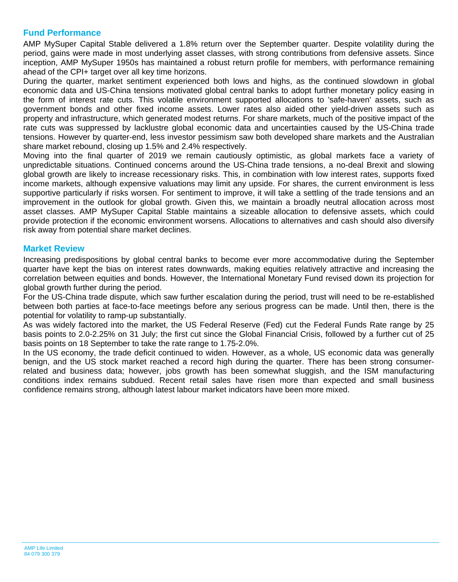## **Fund Performance**

AMP MySuper Capital Stable delivered a 1.8% return over the September quarter. Despite volatility during the period, gains were made in most underlying asset classes, with strong contributions from defensive assets. Since inception, AMP MySuper 1950s has maintained a robust return profile for members, with performance remaining ahead of the CPI+ target over all key time horizons.

During the quarter, market sentiment experienced both lows and highs, as the continued slowdown in global economic data and US-China tensions motivated global central banks to adopt further monetary policy easing in the form of interest rate cuts. This volatile environment supported allocations to 'safe-haven' assets, such as government bonds and other fixed income assets. Lower rates also aided other yield-driven assets such as property and infrastructure, which generated modest returns. For share markets, much of the positive impact of the rate cuts was suppressed by lacklustre global economic data and uncertainties caused by the US-China trade tensions. However by quarter-end, less investor pessimism saw both developed share markets and the Australian share market rebound, closing up 1.5% and 2.4% respectively.

Moving into the final quarter of 2019 we remain cautiously optimistic, as global markets face a variety of unpredictable situations. Continued concerns around the US-China trade tensions, a no-deal Brexit and slowing global growth are likely to increase recessionary risks. This, in combination with low interest rates, supports fixed income markets, although expensive valuations may limit any upside. For shares, the current environment is less supportive particularly if risks worsen. For sentiment to improve, it will take a settling of the trade tensions and an improvement in the outlook for global growth. Given this, we maintain a broadly neutral allocation across most asset classes. AMP MySuper Capital Stable maintains a sizeable allocation to defensive assets, which could provide protection if the economic environment worsens. Allocations to alternatives and cash should also diversify risk away from potential share market declines.

## **Market Review**

Increasing predispositions by global central banks to become ever more accommodative during the September quarter have kept the bias on interest rates downwards, making equities relatively attractive and increasing the correlation between equities and bonds. However, the International Monetary Fund revised down its projection for global growth further during the period.

For the US-China trade dispute, which saw further escalation during the period, trust will need to be re-established between both parties at face-to-face meetings before any serious progress can be made. Until then, there is the potential for volatility to ramp-up substantially.

As was widely factored into the market, the US Federal Reserve (Fed) cut the Federal Funds Rate range by 25 basis points to 2.0-2.25% on 31 July; the first cut since the Global Financial Crisis, followed by a further cut of 25 basis points on 18 September to take the rate range to 1.75-2.0%.

In the US economy, the trade deficit continued to widen. However, as a whole, US economic data was generally benign, and the US stock market reached a record high during the quarter. There has been strong consumerrelated and business data; however, jobs growth has been somewhat sluggish, and the ISM manufacturing conditions index remains subdued. Recent retail sales have risen more than expected and small business confidence remains strong, although latest labour market indicators have been more mixed.